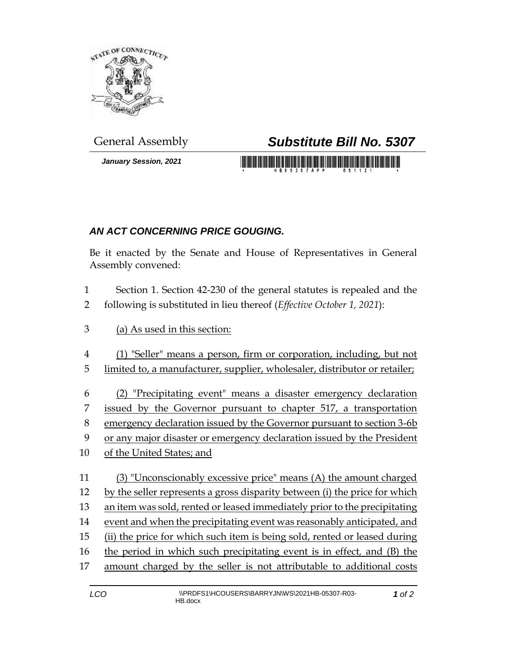

*January Session, 2021*

## General Assembly *Substitute Bill No. 5307*

<u> 1989 - An Dùbhlachd Marwrig Marwr a 1999 - An Dùbhlachd Marwr a 1999 - An Dùbhlachd Marwr a 1999 - An Dùbhlachd Ma</u>

## *AN ACT CONCERNING PRICE GOUGING.*

Be it enacted by the Senate and House of Representatives in General Assembly convened:

- Section 1. Section 42-230 of the general statutes is repealed and the following is substituted in lieu thereof (*Effective October 1, 2021*):
- (a) As used in this section:
- (1) "Seller" means a person, firm or corporation, including, but not
- limited to, a manufacturer, supplier, wholesaler, distributor or retailer;
- (2) "Precipitating event" means a disaster emergency declaration
- issued by the Governor pursuant to chapter 517, a transportation
- emergency declaration issued by the Governor pursuant to section 3-6b
- or any major disaster or emergency declaration issued by the President
- of the United States; and
- (3) "Unconscionably excessive price" means (A) the amount charged by the seller represents a gross disparity between (i) the price for which an item was sold, rented or leased immediately prior to the precipitating event and when the precipitating event was reasonably anticipated, and (ii) the price for which such item is being sold, rented or leased during the period in which such precipitating event is in effect*,* and (B) the amount charged by the seller is not attributable to additional costs